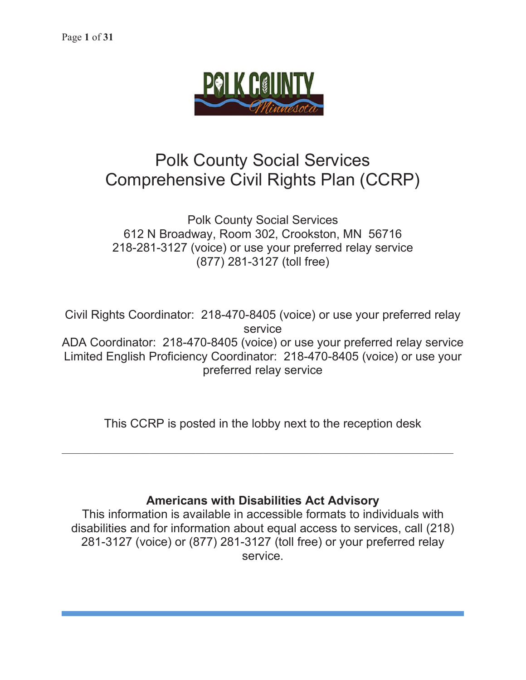

# Polk County Social Services Comprehensive Civil Rights Plan (CCRP)

# Polk County Social Services 612 N Broadway, Room 302, Crookston, MN 56716 218-281-3127 (voice) or use your preferred relay service (877) 281-3127 (toll free)

Civil Rights Coordinator: 218-470-8405 (voice) or use your preferred relay service ADA Coordinator: 218-470-8405 (voice) or use your preferred relay service Limited English Proficiency Coordinator: 218-470-8405 (voice) or use your preferred relay service

This CCRP is posted in the lobby next to the reception desk

 $\mathcal{L}_\mathcal{L} = \mathcal{L}_\mathcal{L} = \mathcal{L}_\mathcal{L} = \mathcal{L}_\mathcal{L} = \mathcal{L}_\mathcal{L} = \mathcal{L}_\mathcal{L} = \mathcal{L}_\mathcal{L} = \mathcal{L}_\mathcal{L} = \mathcal{L}_\mathcal{L} = \mathcal{L}_\mathcal{L} = \mathcal{L}_\mathcal{L} = \mathcal{L}_\mathcal{L} = \mathcal{L}_\mathcal{L} = \mathcal{L}_\mathcal{L} = \mathcal{L}_\mathcal{L} = \mathcal{L}_\mathcal{L} = \mathcal{L}_\mathcal{L}$ 

# **Americans with Disabilities Act Advisory**

This information is available in accessible formats to individuals with disabilities and for information about equal access to services, call (218) 281-3127 (voice) or (877) 281-3127 (toll free) or your preferred relay service.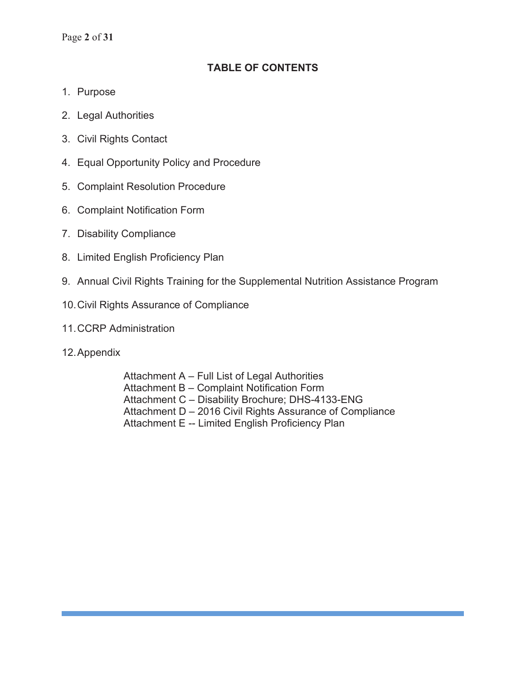Page **2** of **31**

# **TABLE OF CONTENTS**

- 1. Purpose
- 2. Legal Authorities
- 3. Civil Rights Contact
- 4. Equal Opportunity Policy and Procedure
- 5. Complaint Resolution Procedure
- 6. Complaint Notification Form
- 7. Disability Compliance
- 8. Limited English Proficiency Plan
- 9. Annual Civil Rights Training for the Supplemental Nutrition Assistance Program
- 10. Civil Rights Assurance of Compliance
- 11. CCRP Administration
- 12. Appendix

Attachment A – Full List of Legal Authorities Attachment B – Complaint Notification Form Attachment C – Disability Brochure; DHS-4133-ENG Attachment D – 2016 Civil Rights Assurance of Compliance Attachment E -- Limited English Proficiency Plan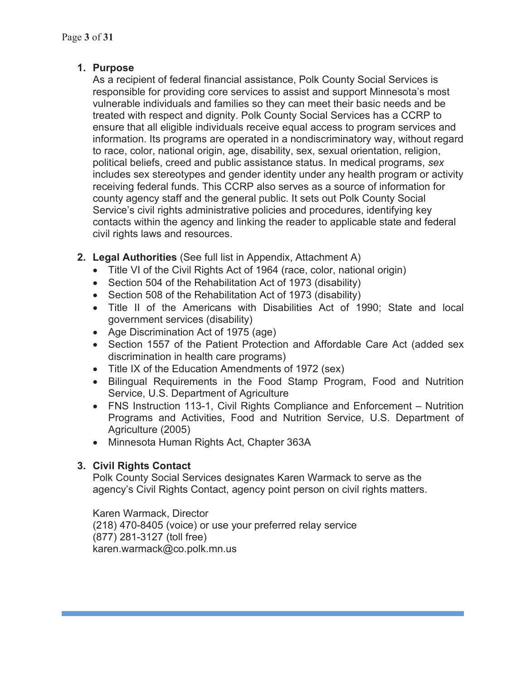# **1. Purpose**

As a recipient of federal financial assistance, Polk County Social Services is responsible for providing core services to assist and support Minnesota's most vulnerable individuals and families so they can meet their basic needs and be treated with respect and dignity. Polk County Social Services has a CCRP to ensure that all eligible individuals receive equal access to program services and information. Its programs are operated in a nondiscriminatory way, without regard to race, color, national origin, age, disability, sex, sexual orientation, religion, political beliefs, creed and public assistance status. In medical programs, *sex* includes sex stereotypes and gender identity under any health program or activity receiving federal funds. This CCRP also serves as a source of information for county agency staff and the general public. It sets out Polk County Social Service's civil rights administrative policies and procedures, identifying key contacts within the agency and linking the reader to applicable state and federal civil rights laws and resources.

- **2. Legal Authorities** (See full list in Appendix, Attachment A)
	- Title VI of the Civil Rights Act of 1964 (race, color, national origin)
	- Section 504 of the Rehabilitation Act of 1973 (disability)
	- $\bullet$  Section 508 of the Rehabilitation Act of 1973 (disability)
	- Title II of the Americans with Disabilities Act of 1990; State and local government services (disability)
	- Age Discrimination Act of 1975 (age)
	- Section 1557 of the Patient Protection and Affordable Care Act (added sex discrimination in health care programs)
	- Title IX of the Education Amendments of 1972 (sex)
	- Bilingual Requirements in the Food Stamp Program, Food and Nutrition Service, U.S. Department of Agriculture
	- FNS Instruction 113-1, Civil Rights Compliance and Enforcement Nutrition Programs and Activities, Food and Nutrition Service, U.S. Department of Agriculture (2005)
	- Minnesota Human Rights Act, Chapter 363A

# **3. Civil Rights Contact**

Polk County Social Services designates Karen Warmack to serve as the agency's Civil Rights Contact, agency point person on civil rights matters.

Karen Warmack, Director (218) 470-8405 (voice) or use your preferred relay service (877) 281-3127 (toll free) karen.warmack@co.polk.mn.us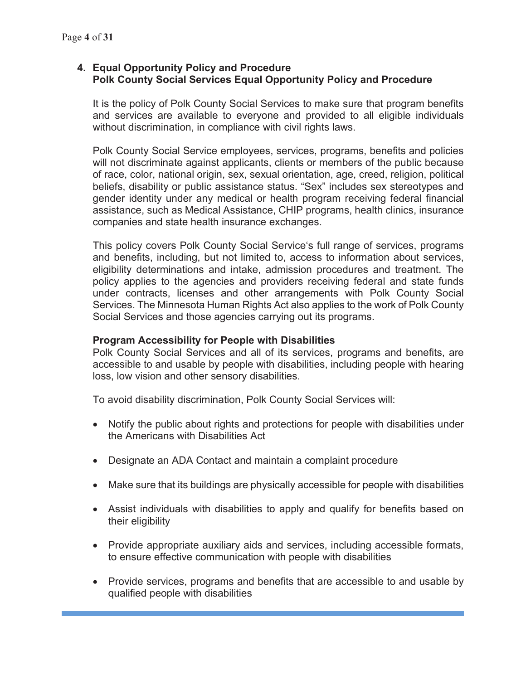## **4. Equal Opportunity Policy and Procedure Polk County Social Services Equal Opportunity Policy and Procedure**

It is the policy of Polk County Social Services to make sure that program benefits and services are available to everyone and provided to all eligible individuals without discrimination, in compliance with civil rights laws.

Polk County Social Service employees, services, programs, benefits and policies will not discriminate against applicants, clients or members of the public because of race, color, national origin, sex, sexual orientation, age, creed, religion, political beliefs, disability or public assistance status. "Sex" includes sex stereotypes and gender identity under any medical or health program receiving federal financial assistance, such as Medical Assistance, CHIP programs, health clinics, insurance companies and state health insurance exchanges.

This policy covers Polk County Social Service's full range of services, programs and benefits, including, but not limited to, access to information about services, eligibility determinations and intake, admission procedures and treatment. The policy applies to the agencies and providers receiving federal and state funds under contracts, licenses and other arrangements with Polk County Social Services. The Minnesota Human Rights Act also applies to the work of Polk County Social Services and those agencies carrying out its programs.

## **Program Accessibility for People with Disabilities**

Polk County Social Services and all of its services, programs and benefits, are accessible to and usable by people with disabilities, including people with hearing loss, low vision and other sensory disabilities.

To avoid disability discrimination, Polk County Social Services will:

- Notify the public about rights and protections for people with disabilities under the Americans with Disabilities Act
- Designate an ADA Contact and maintain a complaint procedure
- Make sure that its buildings are physically accessible for people with disabilities
- Assist individuals with disabilities to apply and qualify for benefits based on their eligibility
- Provide appropriate auxiliary aids and services, including accessible formats, to ensure effective communication with people with disabilities
- Provide services, programs and benefits that are accessible to and usable by qualified people with disabilities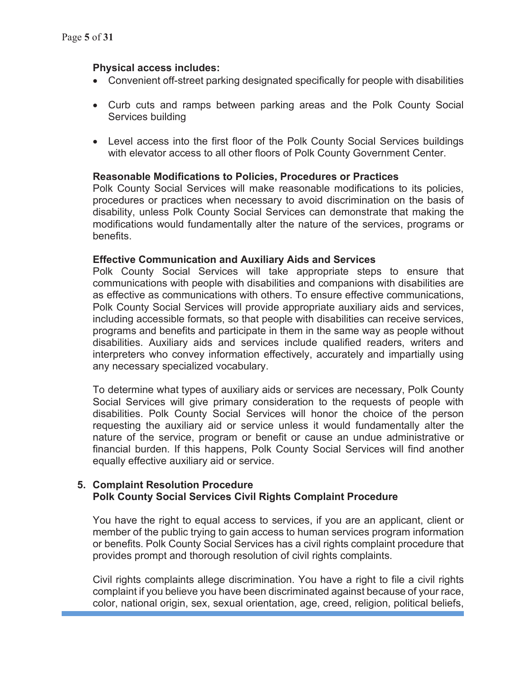## **Physical access includes:**

- Convenient off-street parking designated specifically for people with disabilities
- Curb cuts and ramps between parking areas and the Polk County Social Services building
- Level access into the first floor of the Polk County Social Services buildings with elevator access to all other floors of Polk County Government Center.

## **Reasonable Modifications to Policies, Procedures or Practices**

Polk County Social Services will make reasonable modifications to its policies, procedures or practices when necessary to avoid discrimination on the basis of disability, unless Polk County Social Services can demonstrate that making the modifications would fundamentally alter the nature of the services, programs or benefits.

#### **Effective Communication and Auxiliary Aids and Services**

Polk County Social Services will take appropriate steps to ensure that communications with people with disabilities and companions with disabilities are as effective as communications with others. To ensure effective communications, Polk County Social Services will provide appropriate auxiliary aids and services, including accessible formats, so that people with disabilities can receive services, programs and benefits and participate in them in the same way as people without disabilities. Auxiliary aids and services include qualified readers, writers and interpreters who convey information effectively, accurately and impartially using any necessary specialized vocabulary.

To determine what types of auxiliary aids or services are necessary, Polk County Social Services will give primary consideration to the requests of people with disabilities. Polk County Social Services will honor the choice of the person requesting the auxiliary aid or service unless it would fundamentally alter the nature of the service, program or benefit or cause an undue administrative or financial burden. If this happens, Polk County Social Services will find another equally effective auxiliary aid or service.

## **5. Complaint Resolution Procedure Polk County Social Services Civil Rights Complaint Procedure**

You have the right to equal access to services, if you are an applicant, client or member of the public trying to gain access to human services program information or benefits. Polk County Social Services has a civil rights complaint procedure that provides prompt and thorough resolution of civil rights complaints.

Civil rights complaints allege discrimination. You have a right to file a civil rights complaint if you believe you have been discriminated against because of your race, color, national origin, sex, sexual orientation, age, creed, religion, political beliefs,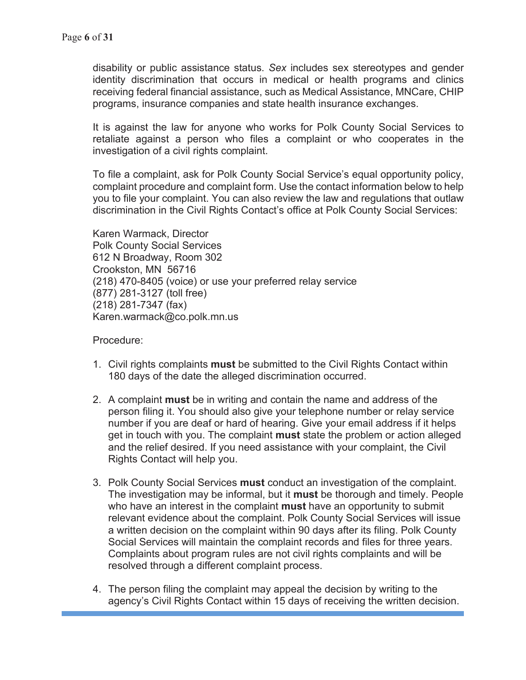disability or public assistance status. *Sex* includes sex stereotypes and gender identity discrimination that occurs in medical or health programs and clinics receiving federal financial assistance, such as Medical Assistance, MNCare, CHIP programs, insurance companies and state health insurance exchanges.

It is against the law for anyone who works for Polk County Social Services to retaliate against a person who files a complaint or who cooperates in the investigation of a civil rights complaint.

To file a complaint, ask for Polk County Social Service's equal opportunity policy, complaint procedure and complaint form. Use the contact information below to help you to file your complaint. You can also review the law and regulations that outlaw discrimination in the Civil Rights Contact's office at Polk County Social Services:

Karen Warmack, Director Polk County Social Services 612 N Broadway, Room 302 Crookston, MN 56716 (218) 470-8405 (voice) or use your preferred relay service (877) 281-3127 (toll free) (218) 281-7347 (fax) Karen.warmack@co.polk.mn.us

Procedure:

- 1. Civil rights complaints **must** be submitted to the Civil Rights Contact within 180 days of the date the alleged discrimination occurred.
- 2. A complaint **must** be in writing and contain the name and address of the person filing it. You should also give your telephone number or relay service number if you are deaf or hard of hearing. Give your email address if it helps get in touch with you. The complaint **must** state the problem or action alleged and the relief desired. If you need assistance with your complaint, the Civil Rights Contact will help you.
- 3. Polk County Social Services **must** conduct an investigation of the complaint. The investigation may be informal, but it **must** be thorough and timely. People who have an interest in the complaint **must** have an opportunity to submit relevant evidence about the complaint. Polk County Social Services will issue a written decision on the complaint within 90 days after its filing. Polk County Social Services will maintain the complaint records and files for three years. Complaints about program rules are not civil rights complaints and will be resolved through a different complaint process.
- 4. The person filing the complaint may appeal the decision by writing to the agency's Civil Rights Contact within 15 days of receiving the written decision.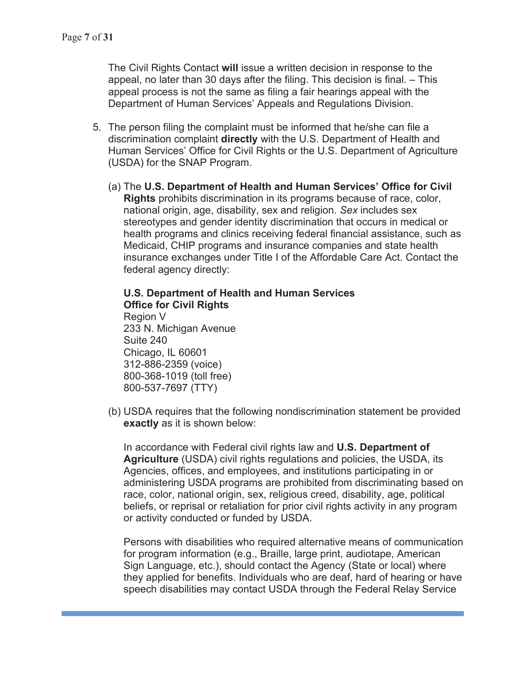The Civil Rights Contact **will** issue a written decision in response to the appeal, no later than 30 days after the filing. This decision is final. – This appeal process is not the same as filing a fair hearings appeal with the Department of Human Services' Appeals and Regulations Division.

- 5. The person filing the complaint must be informed that he/she can file a discrimination complaint **directly** with the U.S. Department of Health and Human Services' Office for Civil Rights or the U.S. Department of Agriculture (USDA) for the SNAP Program.
	- (a) The **U.S. Department of Health and Human Services' Office for Civil Rights** prohibits discrimination in its programs because of race, color, national origin, age, disability, sex and religion. *Sex* includes sex stereotypes and gender identity discrimination that occurs in medical or health programs and clinics receiving federal financial assistance, such as Medicaid, CHIP programs and insurance companies and state health insurance exchanges under Title I of the Affordable Care Act. Contact the federal agency directly:

**U.S. Department of Health and Human Services Office for Civil Rights**  Region V 233 N. Michigan Avenue Suite 240 Chicago, IL 60601 312-886-2359 (voice) 800-368-1019 (toll free) 800-537-7697 (TTY)

(b) USDA requires that the following nondiscrimination statement be provided **exactly** as it is shown below:

In accordance with Federal civil rights law and **U.S. Department of Agriculture** (USDA) civil rights regulations and policies, the USDA, its Agencies, offices, and employees, and institutions participating in or administering USDA programs are prohibited from discriminating based on race, color, national origin, sex, religious creed, disability, age, political beliefs, or reprisal or retaliation for prior civil rights activity in any program or activity conducted or funded by USDA.

Persons with disabilities who required alternative means of communication for program information (e.g., Braille, large print, audiotape, American Sign Language, etc.), should contact the Agency (State or local) where they applied for benefits. Individuals who are deaf, hard of hearing or have speech disabilities may contact USDA through the Federal Relay Service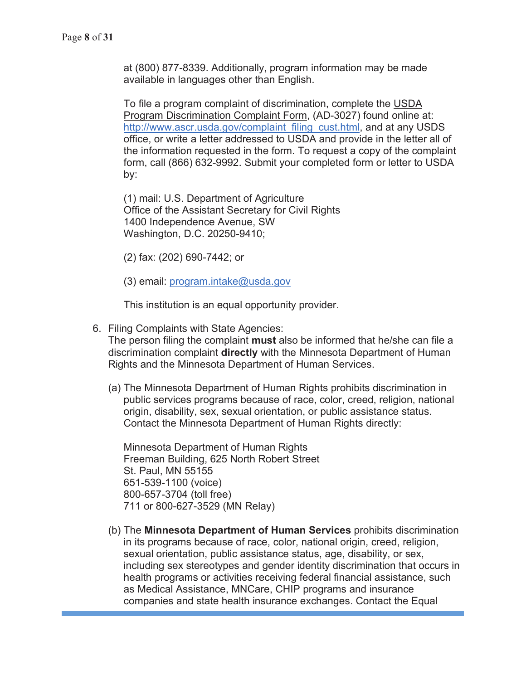at (800) 877-8339. Additionally, program information may be made available in languages other than English.

To file a program complaint of discrimination, complete the USDA Program Discrimination Complaint Form, (AD-3027) found online at: http://www.ascr.usda.gov/complaint\_filing\_cust.html, and at any USDS office, or write a letter addressed to USDA and provide in the letter all of the information requested in the form. To request a copy of the complaint form, call (866) 632-9992. Submit your completed form or letter to USDA by:

(1) mail: U.S. Department of Agriculture Office of the Assistant Secretary for Civil Rights 1400 Independence Avenue, SW Washington, D.C. 20250-9410;

- (2) fax: (202) 690-7442; or
- (3) email: program.intake@usda.gov

This institution is an equal opportunity provider.

6. Filing Complaints with State Agencies:

The person filing the complaint **must** also be informed that he/she can file a discrimination complaint **directly** with the Minnesota Department of Human Rights and the Minnesota Department of Human Services.

(a) The Minnesota Department of Human Rights prohibits discrimination in public services programs because of race, color, creed, religion, national origin, disability, sex, sexual orientation, or public assistance status. Contact the Minnesota Department of Human Rights directly:

Minnesota Department of Human Rights Freeman Building, 625 North Robert Street St. Paul, MN 55155 651-539-1100 (voice) 800-657-3704 (toll free) 711 or 800-627-3529 (MN Relay)

(b) The **Minnesota Department of Human Services** prohibits discrimination in its programs because of race, color, national origin, creed, religion, sexual orientation, public assistance status, age, disability, or sex, including sex stereotypes and gender identity discrimination that occurs in health programs or activities receiving federal financial assistance, such as Medical Assistance, MNCare, CHIP programs and insurance companies and state health insurance exchanges. Contact the Equal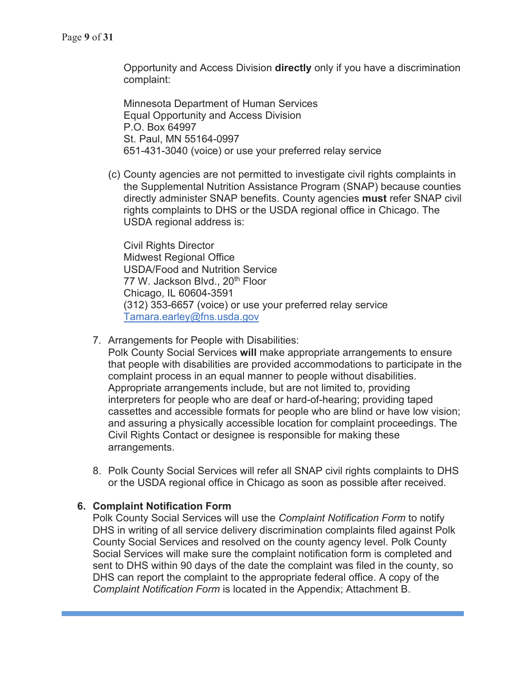Opportunity and Access Division **directly** only if you have a discrimination complaint:

Minnesota Department of Human Services Equal Opportunity and Access Division P.O. Box 64997 St. Paul, MN 55164-0997 651-431-3040 (voice) or use your preferred relay service

(c) County agencies are not permitted to investigate civil rights complaints in the Supplemental Nutrition Assistance Program (SNAP) because counties directly administer SNAP benefits. County agencies **must** refer SNAP civil rights complaints to DHS or the USDA regional office in Chicago. The USDA regional address is:

Civil Rights Director Midwest Regional Office USDA/Food and Nutrition Service 77 W. Jackson Blyd., 20<sup>th</sup> Floor Chicago, IL 60604-3591 (312) 353-6657 (voice) or use your preferred relay service Tamara.earley@fns.usda.gov

- 7. Arrangements for People with Disabilities:
	- Polk County Social Services **will** make appropriate arrangements to ensure that people with disabilities are provided accommodations to participate in the complaint process in an equal manner to people without disabilities. Appropriate arrangements include, but are not limited to, providing interpreters for people who are deaf or hard-of-hearing; providing taped cassettes and accessible formats for people who are blind or have low vision; and assuring a physically accessible location for complaint proceedings. The Civil Rights Contact or designee is responsible for making these arrangements.
- 8. Polk County Social Services will refer all SNAP civil rights complaints to DHS or the USDA regional office in Chicago as soon as possible after received.

## **6. Complaint Notification Form**

Polk County Social Services will use the *Complaint Notification Form* to notify DHS in writing of all service delivery discrimination complaints filed against Polk County Social Services and resolved on the county agency level. Polk County Social Services will make sure the complaint notification form is completed and sent to DHS within 90 days of the date the complaint was filed in the county, so DHS can report the complaint to the appropriate federal office. A copy of the *Complaint Notification Form* is located in the Appendix; Attachment B.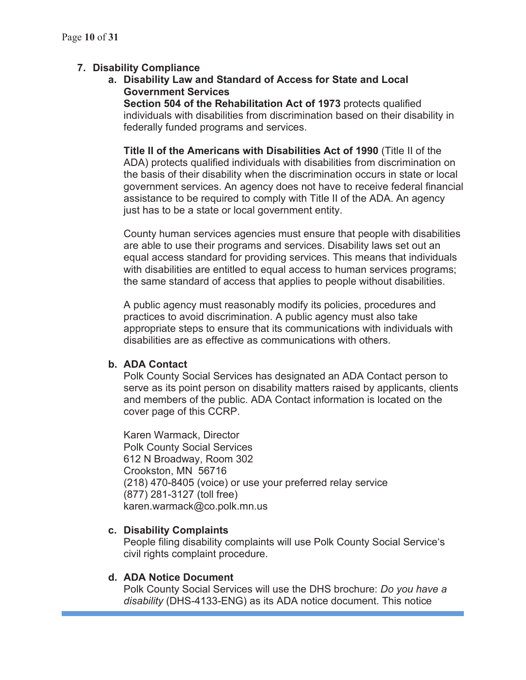# **7. Disability Compliance**

**a. Disability Law and Standard of Access for State and Local Government Services** 

**Section 504 of the Rehabilitation Act of 1973** protects qualified individuals with disabilities from discrimination based on their disability in federally funded programs and services.

**Title II of the Americans with Disabilities Act of 1990** (Title II of the ADA) protects qualified individuals with disabilities from discrimination on the basis of their disability when the discrimination occurs in state or local government services. An agency does not have to receive federal financial assistance to be required to comply with Title II of the ADA. An agency just has to be a state or local government entity.

County human services agencies must ensure that people with disabilities are able to use their programs and services. Disability laws set out an equal access standard for providing services. This means that individuals with disabilities are entitled to equal access to human services programs; the same standard of access that applies to people without disabilities.

A public agency must reasonably modify its policies, procedures and practices to avoid discrimination. A public agency must also take appropriate steps to ensure that its communications with individuals with disabilities are as effective as communications with others.

## **b. ADA Contact**

Polk County Social Services has designated an ADA Contact person to serve as its point person on disability matters raised by applicants, clients and members of the public. ADA Contact information is located on the cover page of this CCRP.

Karen Warmack, Director Polk County Social Services 612 N Broadway, Room 302 Crookston, MN 56716 (218) 470-8405 (voice) or use your preferred relay service (877) 281-3127 (toll free) karen.warmack@co.polk.mn.us

## **c. Disability Complaints**

People filing disability complaints will use Polk County Social Service's civil rights complaint procedure.

## **d. ADA Notice Document**

Polk County Social Services will use the DHS brochure: *Do you have a disability* (DHS-4133-ENG) as its ADA notice document. This notice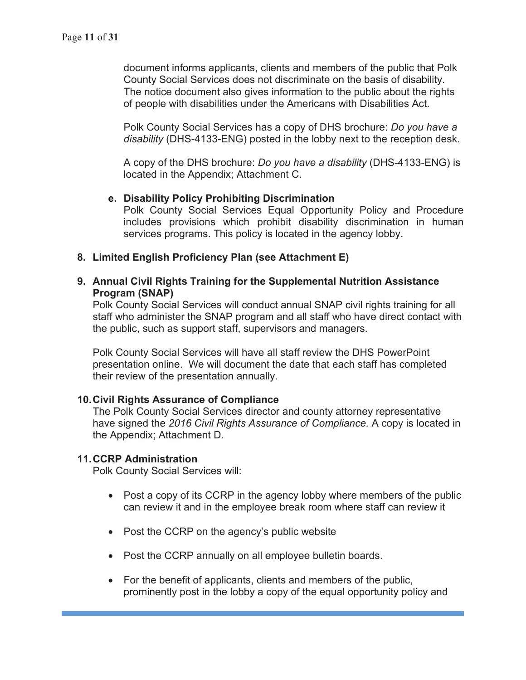document informs applicants, clients and members of the public that Polk County Social Services does not discriminate on the basis of disability. The notice document also gives information to the public about the rights of people with disabilities under the Americans with Disabilities Act.

Polk County Social Services has a copy of DHS brochure: *Do you have a disability* (DHS-4133-ENG) posted in the lobby next to the reception desk.

A copy of the DHS brochure: *Do you have a disability* (DHS-4133-ENG) is located in the Appendix; Attachment C.

#### **e. Disability Policy Prohibiting Discrimination**

Polk County Social Services Equal Opportunity Policy and Procedure includes provisions which prohibit disability discrimination in human services programs. This policy is located in the agency lobby.

#### **8. Limited English Proficiency Plan (see Attachment E)**

**9. Annual Civil Rights Training for the Supplemental Nutrition Assistance Program (SNAP)** 

Polk County Social Services will conduct annual SNAP civil rights training for all staff who administer the SNAP program and all staff who have direct contact with the public, such as support staff, supervisors and managers.

Polk County Social Services will have all staff review the DHS PowerPoint presentation online. We will document the date that each staff has completed their review of the presentation annually.

#### **10. Civil Rights Assurance of Compliance**

The Polk County Social Services director and county attorney representative have signed the *2016 Civil Rights Assurance of Compliance.* A copy is located in the Appendix; Attachment D.

#### **11. CCRP Administration**

Polk County Social Services will:

- $\bullet$  Post a copy of its CCRP in the agency lobby where members of the public can review it and in the employee break room where staff can review it
- Post the CCRP on the agency's public website
- Post the CCRP annually on all employee bulletin boards.
- For the benefit of applicants, clients and members of the public, prominently post in the lobby a copy of the equal opportunity policy and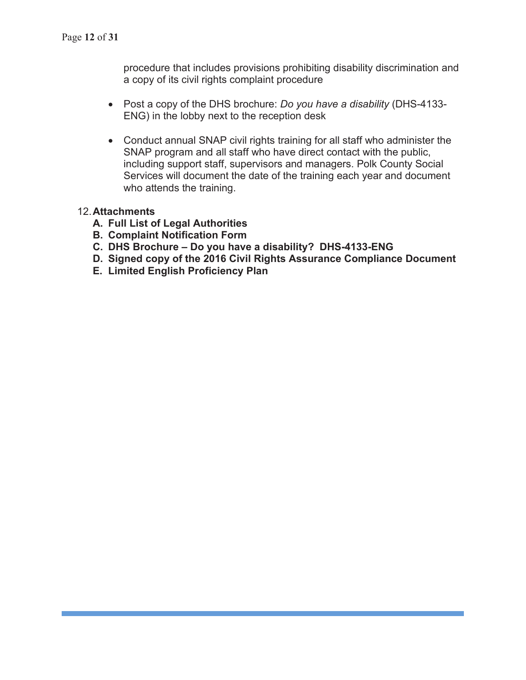procedure that includes provisions prohibiting disability discrimination and a copy of its civil rights complaint procedure

- x Post a copy of the DHS brochure: *Do you have a disability* (DHS-4133- ENG) in the lobby next to the reception desk
- Conduct annual SNAP civil rights training for all staff who administer the SNAP program and all staff who have direct contact with the public, including support staff, supervisors and managers. Polk County Social Services will document the date of the training each year and document who attends the training.

## 12. **Attachments**

- **A. Full List of Legal Authorities**
- **B. Complaint Notification Form**
- **C. DHS Brochure Do you have a disability? DHS-4133-ENG**
- **D. Signed copy of the 2016 Civil Rights Assurance Compliance Document**
- **E. Limited English Proficiency Plan**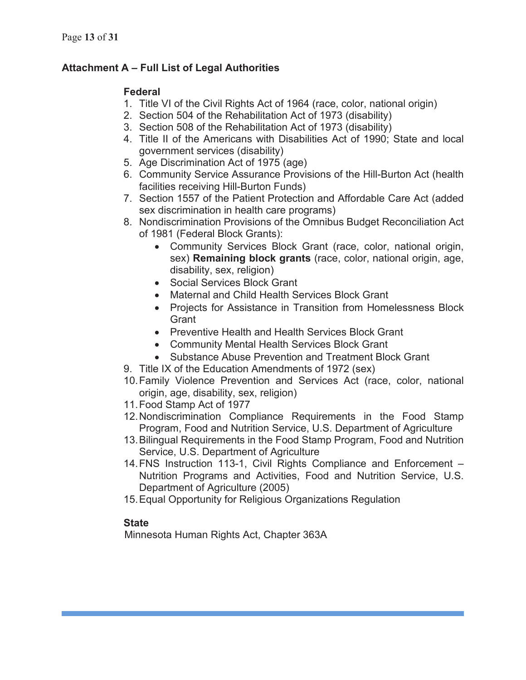# **Attachment A – Full List of Legal Authorities**

# **Federal**

- 1. Title VI of the Civil Rights Act of 1964 (race, color, national origin)
- 2. Section 504 of the Rehabilitation Act of 1973 (disability)
- 3. Section 508 of the Rehabilitation Act of 1973 (disability)
- 4. Title II of the Americans with Disabilities Act of 1990; State and local government services (disability)
- 5. Age Discrimination Act of 1975 (age)
- 6. Community Service Assurance Provisions of the Hill-Burton Act (health facilities receiving Hill-Burton Funds)
- 7. Section 1557 of the Patient Protection and Affordable Care Act (added sex discrimination in health care programs)
- 8. Nondiscrimination Provisions of the Omnibus Budget Reconciliation Act of 1981 (Federal Block Grants):
	- Community Services Block Grant (race, color, national origin, sex) **Remaining block grants** (race, color, national origin, age, disability, sex, religion)
	- Social Services Block Grant
	- Maternal and Child Health Services Block Grant
	- Projects for Assistance in Transition from Homelessness Block **Grant**
	- Preventive Health and Health Services Block Grant
	- Community Mental Health Services Block Grant
	- Substance Abuse Prevention and Treatment Block Grant
- 9. Title IX of the Education Amendments of 1972 (sex)
- 10. Family Violence Prevention and Services Act (race, color, national origin, age, disability, sex, religion)
- 11. Food Stamp Act of 1977
- 12. Nondiscrimination Compliance Requirements in the Food Stamp Program, Food and Nutrition Service, U.S. Department of Agriculture
- 13. Bilingual Requirements in the Food Stamp Program, Food and Nutrition Service, U.S. Department of Agriculture
- 14. FNS Instruction 113-1, Civil Rights Compliance and Enforcement Nutrition Programs and Activities, Food and Nutrition Service, U.S. Department of Agriculture (2005)
- 15. Equal Opportunity for Religious Organizations Regulation

# **State**

Minnesota Human Rights Act, Chapter 363A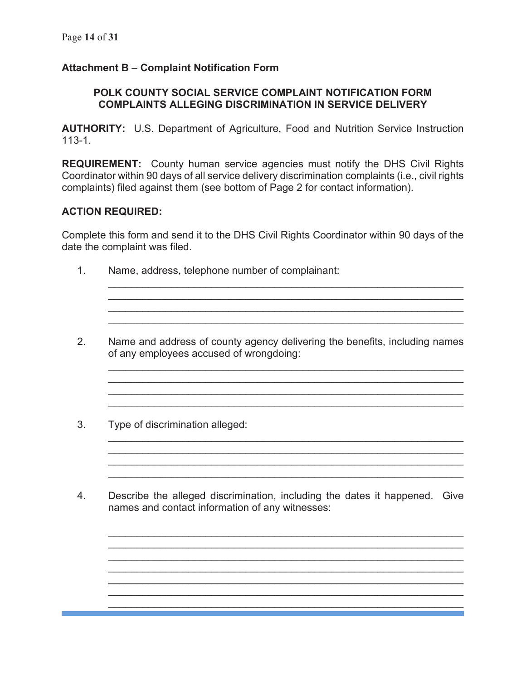# **Attachment B** – **Complaint Notification Form**

## **POLK COUNTY SOCIAL SERVICE COMPLAINT NOTIFICATION FORM COMPLAINTS ALLEGING DISCRIMINATION IN SERVICE DELIVERY**

**AUTHORITY:** U.S. Department of Agriculture, Food and Nutrition Service Instruction 113-1.

**REQUIREMENT:** County human service agencies must notify the DHS Civil Rights Coordinator within 90 days of all service delivery discrimination complaints (i.e., civil rights complaints) filed against them (see bottom of Page 2 for contact information).

## **ACTION REQUIRED:**

Complete this form and send it to the DHS Civil Rights Coordinator within 90 days of the date the complaint was filed.

- 1. Name, address, telephone number of complainant:
- 2. Name and address of county agency delivering the benefits, including names of any employees accused of wrongdoing:

\_\_\_\_\_\_\_\_\_\_\_\_\_\_\_\_\_\_\_\_\_\_\_\_\_\_\_\_\_\_\_\_\_\_\_\_\_\_\_\_\_\_\_\_\_\_\_\_\_\_\_\_\_\_\_\_\_\_\_\_\_\_ \_\_\_\_\_\_\_\_\_\_\_\_\_\_\_\_\_\_\_\_\_\_\_\_\_\_\_\_\_\_\_\_\_\_\_\_\_\_\_\_\_\_\_\_\_\_\_\_\_\_\_\_\_\_\_\_\_\_\_\_\_\_  $\mathcal{L}_\mathcal{L} = \mathcal{L}_\mathcal{L} = \mathcal{L}_\mathcal{L} = \mathcal{L}_\mathcal{L} = \mathcal{L}_\mathcal{L} = \mathcal{L}_\mathcal{L} = \mathcal{L}_\mathcal{L} = \mathcal{L}_\mathcal{L} = \mathcal{L}_\mathcal{L} = \mathcal{L}_\mathcal{L} = \mathcal{L}_\mathcal{L} = \mathcal{L}_\mathcal{L} = \mathcal{L}_\mathcal{L} = \mathcal{L}_\mathcal{L} = \mathcal{L}_\mathcal{L} = \mathcal{L}_\mathcal{L} = \mathcal{L}_\mathcal{L}$  $\mathcal{L}_\text{max}$  , and the contribution of the contribution of the contribution of the contribution of the contribution of the contribution of the contribution of the contribution of the contribution of the contribution of t

 $\mathcal{L}_\text{max}$  , and the contribution of the contribution of the contribution of the contribution of the contribution of the contribution of the contribution of the contribution of the contribution of the contribution of t  $\mathcal{L}_\text{max}$  , and the contribution of the contribution of the contribution of the contribution of the contribution of the contribution of the contribution of the contribution of the contribution of the contribution of t  $\mathcal{L}_\mathcal{L} = \{ \mathcal{L}_\mathcal{L} = \{ \mathcal{L}_\mathcal{L} = \{ \mathcal{L}_\mathcal{L} = \{ \mathcal{L}_\mathcal{L} = \{ \mathcal{L}_\mathcal{L} = \{ \mathcal{L}_\mathcal{L} = \{ \mathcal{L}_\mathcal{L} = \{ \mathcal{L}_\mathcal{L} = \{ \mathcal{L}_\mathcal{L} = \{ \mathcal{L}_\mathcal{L} = \{ \mathcal{L}_\mathcal{L} = \{ \mathcal{L}_\mathcal{L} = \{ \mathcal{L}_\mathcal{L} = \{ \mathcal{L}_\mathcal{$ \_\_\_\_\_\_\_\_\_\_\_\_\_\_\_\_\_\_\_\_\_\_\_\_\_\_\_\_\_\_\_\_\_\_\_\_\_\_\_\_\_\_\_\_\_\_\_\_\_\_\_\_\_\_\_\_\_\_\_\_\_\_

 $\mathcal{L}_\text{max}$  , and the contribution of the contribution of the contribution of the contribution of the contribution of the contribution of the contribution of the contribution of the contribution of the contribution of t  $\mathcal{L}_\mathcal{L} = \{ \mathcal{L}_\mathcal{L} = \{ \mathcal{L}_\mathcal{L} = \{ \mathcal{L}_\mathcal{L} = \{ \mathcal{L}_\mathcal{L} = \{ \mathcal{L}_\mathcal{L} = \{ \mathcal{L}_\mathcal{L} = \{ \mathcal{L}_\mathcal{L} = \{ \mathcal{L}_\mathcal{L} = \{ \mathcal{L}_\mathcal{L} = \{ \mathcal{L}_\mathcal{L} = \{ \mathcal{L}_\mathcal{L} = \{ \mathcal{L}_\mathcal{L} = \{ \mathcal{L}_\mathcal{L} = \{ \mathcal{L}_\mathcal{$ \_\_\_\_\_\_\_\_\_\_\_\_\_\_\_\_\_\_\_\_\_\_\_\_\_\_\_\_\_\_\_\_\_\_\_\_\_\_\_\_\_\_\_\_\_\_\_\_\_\_\_\_\_\_\_\_\_\_\_\_\_\_

\_\_\_\_\_\_\_\_\_\_\_\_\_\_\_\_\_\_\_\_\_\_\_\_\_\_\_\_\_\_\_\_\_\_\_\_\_\_\_\_\_\_\_\_\_\_\_\_\_\_\_\_\_\_\_\_\_\_\_\_\_\_  $\mathcal{L}_\mathcal{L} = \{ \mathcal{L}_\mathcal{L} = \{ \mathcal{L}_\mathcal{L} = \{ \mathcal{L}_\mathcal{L} = \{ \mathcal{L}_\mathcal{L} = \{ \mathcal{L}_\mathcal{L} = \{ \mathcal{L}_\mathcal{L} = \{ \mathcal{L}_\mathcal{L} = \{ \mathcal{L}_\mathcal{L} = \{ \mathcal{L}_\mathcal{L} = \{ \mathcal{L}_\mathcal{L} = \{ \mathcal{L}_\mathcal{L} = \{ \mathcal{L}_\mathcal{L} = \{ \mathcal{L}_\mathcal{L} = \{ \mathcal{L}_\mathcal{$  $\mathcal{L}_\text{max}$  , and the contribution of the contribution of the contribution of the contribution of the contribution of the contribution of the contribution of the contribution of the contribution of the contribution of t  $\mathcal{L}_\text{max}$  , and the contribution of the contribution of the contribution of the contribution of the contribution of the contribution of the contribution of the contribution of the contribution of the contribution of t

\_\_\_\_\_\_\_\_\_\_\_\_\_\_\_\_\_\_\_\_\_\_\_\_\_\_\_\_\_\_\_\_\_\_\_\_\_\_\_\_\_\_\_\_\_\_\_\_\_\_\_\_\_\_\_\_\_\_\_\_\_\_  $\mathcal{L}_\text{max}$  , and the contribution of the contribution of the contribution of the contribution of the contribution of the contribution of the contribution of the contribution of the contribution of the contribution of t

\_\_\_\_\_\_\_\_\_\_\_\_\_\_\_\_\_\_\_\_\_\_\_\_\_\_\_\_\_\_\_\_\_\_\_\_\_\_\_\_\_\_\_\_\_\_\_\_\_\_\_\_\_\_\_\_\_\_\_\_\_\_

- 3. Type of discrimination alleged:
- 4. Describe the alleged discrimination, including the dates it happened. Give names and contact information of any witnesses: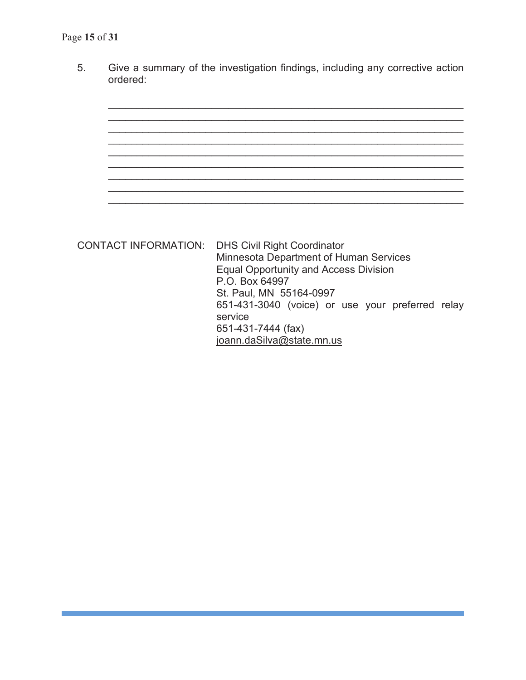5. Give a summary of the investigation findings, including any corrective action ordered:



CONTACT INFORMATION: DHS Civil Right Coordinator Minnesota Department of Human Services Equal Opportunity and Access Division P.O. Box 64997 St. Paul, MN 55164-0997 651-431-3040 (voice) or use your preferred relay service 651-431-7444 (fax) joann.daSilva@state.mn.us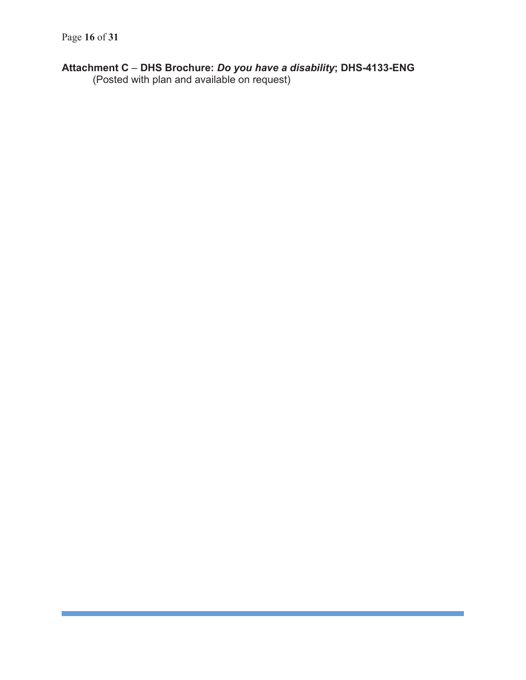## **Attachment C** – **DHS Brochure:** *Do you have a disability***; DHS-4133-ENG**

(Posted with plan and available on request)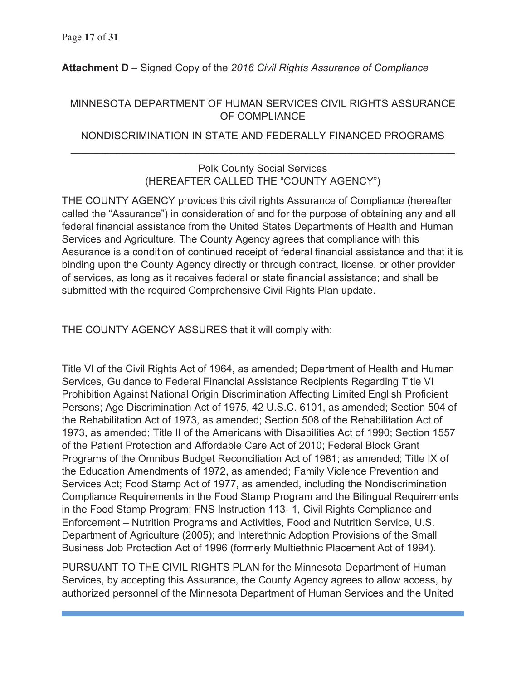# **Attachment D** – Signed Copy of the *2016 Civil Rights Assurance of Compliance*

## MINNESOTA DEPARTMENT OF HUMAN SERVICES CIVIL RIGHTS ASSURANCE OF COMPLIANCE

# NONDISCRIMINATION IN STATE AND FEDERALLY FINANCED PROGRAMS  $\overline{a}$  , and the contribution of the contribution of the contribution of the contribution of the contribution of the contribution of the contribution of the contribution of the contribution of the contribution of the co

# Polk County Social Services (HEREAFTER CALLED THE "COUNTY AGENCY")

THE COUNTY AGENCY provides this civil rights Assurance of Compliance (hereafter called the "Assurance") in consideration of and for the purpose of obtaining any and all federal financial assistance from the United States Departments of Health and Human Services and Agriculture. The County Agency agrees that compliance with this Assurance is a condition of continued receipt of federal financial assistance and that it is binding upon the County Agency directly or through contract, license, or other provider of services, as long as it receives federal or state financial assistance; and shall be submitted with the required Comprehensive Civil Rights Plan update.

THE COUNTY AGENCY ASSURES that it will comply with:

Title VI of the Civil Rights Act of 1964, as amended; Department of Health and Human Services, Guidance to Federal Financial Assistance Recipients Regarding Title VI Prohibition Against National Origin Discrimination Affecting Limited English Proficient Persons; Age Discrimination Act of 1975, 42 U.S.C. 6101, as amended; Section 504 of the Rehabilitation Act of 1973, as amended; Section 508 of the Rehabilitation Act of 1973, as amended; Title II of the Americans with Disabilities Act of 1990; Section 1557 of the Patient Protection and Affordable Care Act of 2010; Federal Block Grant Programs of the Omnibus Budget Reconciliation Act of 1981; as amended; Title IX of the Education Amendments of 1972, as amended; Family Violence Prevention and Services Act; Food Stamp Act of 1977, as amended, including the Nondiscrimination Compliance Requirements in the Food Stamp Program and the Bilingual Requirements in the Food Stamp Program; FNS Instruction 113- 1, Civil Rights Compliance and Enforcement – Nutrition Programs and Activities, Food and Nutrition Service, U.S. Department of Agriculture (2005); and Interethnic Adoption Provisions of the Small Business Job Protection Act of 1996 (formerly Multiethnic Placement Act of 1994).

PURSUANT TO THE CIVIL RIGHTS PLAN for the Minnesota Department of Human Services, by accepting this Assurance, the County Agency agrees to allow access, by authorized personnel of the Minnesota Department of Human Services and the United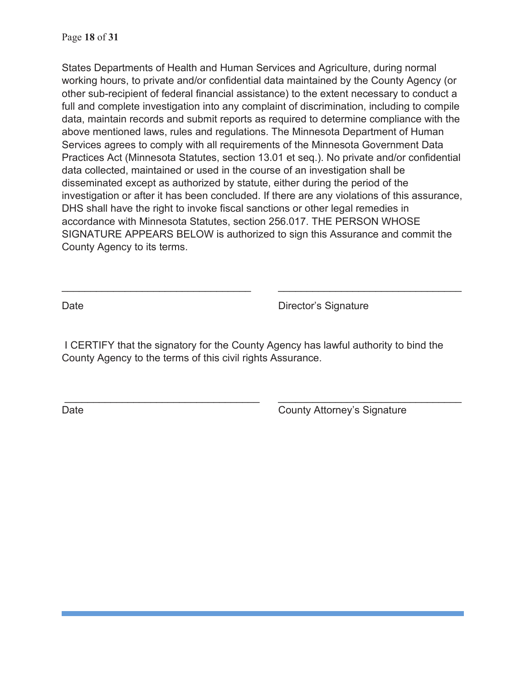States Departments of Health and Human Services and Agriculture, during normal working hours, to private and/or confidential data maintained by the County Agency (or other sub-recipient of federal financial assistance) to the extent necessary to conduct a full and complete investigation into any complaint of discrimination, including to compile data, maintain records and submit reports as required to determine compliance with the above mentioned laws, rules and regulations. The Minnesota Department of Human Services agrees to comply with all requirements of the Minnesota Government Data Practices Act (Minnesota Statutes, section 13.01 et seq.). No private and/or confidential data collected, maintained or used in the course of an investigation shall be disseminated except as authorized by statute, either during the period of the investigation or after it has been concluded. If there are any violations of this assurance, DHS shall have the right to invoke fiscal sanctions or other legal remedies in accordance with Minnesota Statutes, section 256.017. THE PERSON WHOSE SIGNATURE APPEARS BELOW is authorized to sign this Assurance and commit the County Agency to its terms.

Date **Date** Director's Signature

 I CERTIFY that the signatory for the County Agency has lawful authority to bind the County Agency to the terms of this civil rights Assurance.

\_\_\_\_\_\_\_\_\_\_\_\_\_\_\_\_\_\_\_\_\_\_\_\_\_\_\_\_\_\_\_\_\_\_ \_\_\_\_\_\_\_\_\_\_\_\_\_\_\_\_\_\_\_\_\_\_\_\_\_\_\_\_\_\_\_\_

 $\overline{\phantom{a}}$  , and the contribution of the contribution of  $\overline{\phantom{a}}$  , and  $\overline{\phantom{a}}$  , and  $\overline{\phantom{a}}$  , and  $\overline{\phantom{a}}$  , and  $\overline{\phantom{a}}$ 

Date County Attorney's Signature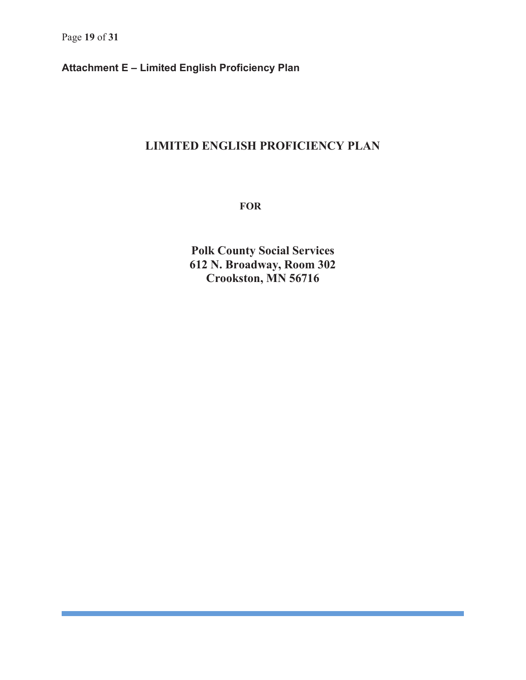**Attachment E – Limited English Proficiency Plan** 

# **LIMITED ENGLISH PROFICIENCY PLAN**

 **FOR** 

**Polk County Social Services 612 N. Broadway, Room 302 Crookston, MN 56716**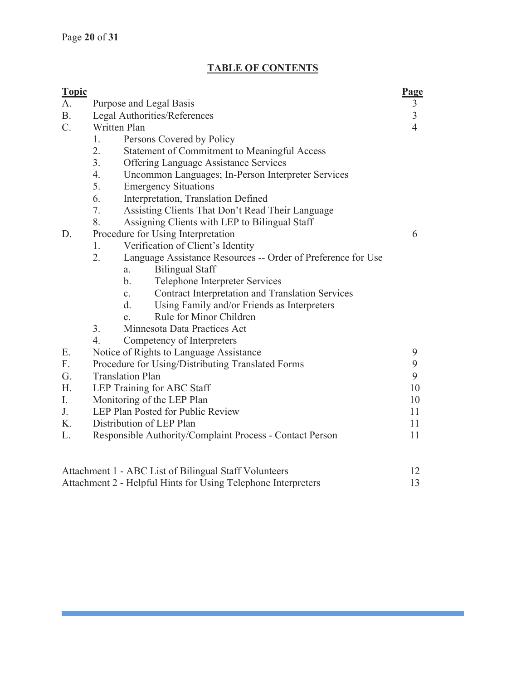# **TABLE OF CONTENTS**

| <b>Topic</b>    |                                                                           | Page           |
|-----------------|---------------------------------------------------------------------------|----------------|
| A.              | Purpose and Legal Basis                                                   | $\mathfrak{Z}$ |
| <b>B.</b>       | Legal Authorities/References                                              | $\frac{3}{4}$  |
| $\mathcal{C}$ . | Written Plan                                                              |                |
|                 | 1.<br>Persons Covered by Policy                                           |                |
|                 | 2.<br>Statement of Commitment to Meaningful Access                        |                |
|                 | 3.<br><b>Offering Language Assistance Services</b>                        |                |
|                 | 4.<br>Uncommon Languages; In-Person Interpreter Services                  |                |
|                 | 5.<br><b>Emergency Situations</b>                                         |                |
|                 | 6.<br>Interpretation, Translation Defined                                 |                |
|                 | 7.<br>Assisting Clients That Don't Read Their Language                    |                |
|                 | 8.<br>Assigning Clients with LEP to Bilingual Staff                       |                |
| D.              | Procedure for Using Interpretation                                        | 6              |
|                 | Verification of Client's Identity<br>1.                                   |                |
|                 | 2.<br>Language Assistance Resources -- Order of Preference for Use        |                |
|                 | <b>Bilingual Staff</b><br>a.                                              |                |
|                 | $\mathbf{b}$ .<br>Telephone Interpreter Services                          |                |
|                 | <b>Contract Interpretation and Translation Services</b><br>$\mathbf{c}$ . |                |
|                 | Using Family and/or Friends as Interpreters<br>d.                         |                |
|                 | Rule for Minor Children<br>e.                                             |                |
|                 | 3.<br>Minnesota Data Practices Act                                        |                |
|                 | 4.<br>Competency of Interpreters                                          |                |
| Ε.              | Notice of Rights to Language Assistance                                   | 9              |
| F.              | Procedure for Using/Distributing Translated Forms                         | 9              |
| G.              | <b>Translation Plan</b>                                                   | 9              |
| H.              | LEP Training for ABC Staff                                                | 10             |
| I.              | Monitoring of the LEP Plan                                                | 10             |
| J.              | LEP Plan Posted for Public Review                                         | 11             |
| K.              | Distribution of LEP Plan                                                  | 11             |
| L.              | Responsible Authority/Complaint Process - Contact Person                  | 11             |
|                 |                                                                           |                |
|                 | Attachment 1 - ABC List of Bilingual Staff Volunteers                     | 12             |
|                 | Attachment 2 - Helpful Hints for Using Telephone Interpreters             | 13             |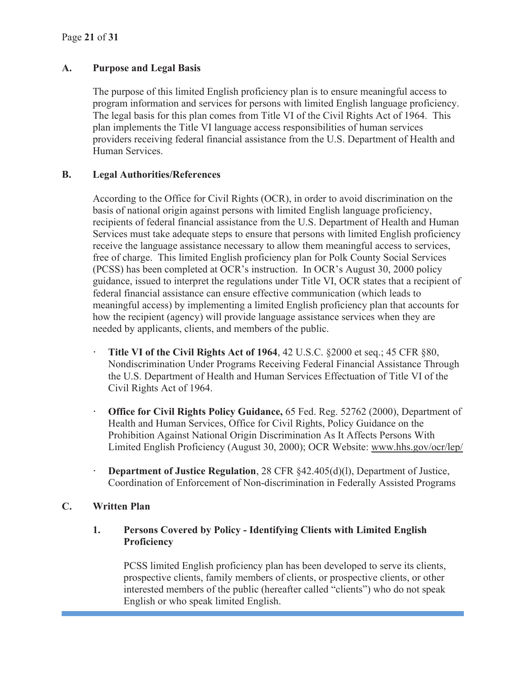#### **A. Purpose and Legal Basis**

The purpose of this limited English proficiency plan is to ensure meaningful access to program information and services for persons with limited English language proficiency. The legal basis for this plan comes from Title VI of the Civil Rights Act of 1964. This plan implements the Title VI language access responsibilities of human services providers receiving federal financial assistance from the U.S. Department of Health and Human Services.

#### **B. Legal Authorities/References**

According to the Office for Civil Rights (OCR), in order to avoid discrimination on the basis of national origin against persons with limited English language proficiency, recipients of federal financial assistance from the U.S. Department of Health and Human Services must take adequate steps to ensure that persons with limited English proficiency receive the language assistance necessary to allow them meaningful access to services, free of charge. This limited English proficiency plan for Polk County Social Services (PCSS) has been completed at OCR's instruction. In OCR's August 30, 2000 policy guidance, issued to interpret the regulations under Title VI, OCR states that a recipient of federal financial assistance can ensure effective communication (which leads to meaningful access) by implementing a limited English proficiency plan that accounts for how the recipient (agency) will provide language assistance services when they are needed by applicants, clients, and members of the public.

- **· Title VI of the Civil Rights Act of 1964**, 42 U.S.C. §2000 et seq.; 45 CFR §80, Nondiscrimination Under Programs Receiving Federal Financial Assistance Through the U.S. Department of Health and Human Services Effectuation of Title VI of the Civil Rights Act of 1964.
- **· Office for Civil Rights Policy Guidance,** 65 Fed. Reg. 52762 (2000), Department of Health and Human Services, Office for Civil Rights, Policy Guidance on the Prohibition Against National Origin Discrimination As It Affects Persons With Limited English Proficiency (August 30, 2000); OCR Website: www.hhs.gov/ocr/lep/
- **· Department of Justice Regulation**, 28 CFR §42.405(d)(l), Department of Justice, Coordination of Enforcement of Non-discrimination in Federally Assisted Programs

## **C. Written Plan**

## **1. Persons Covered by Policy - Identifying Clients with Limited English Proficiency**

 PCSS limited English proficiency plan has been developed to serve its clients, prospective clients, family members of clients, or prospective clients, or other interested members of the public (hereafter called "clients") who do not speak English or who speak limited English.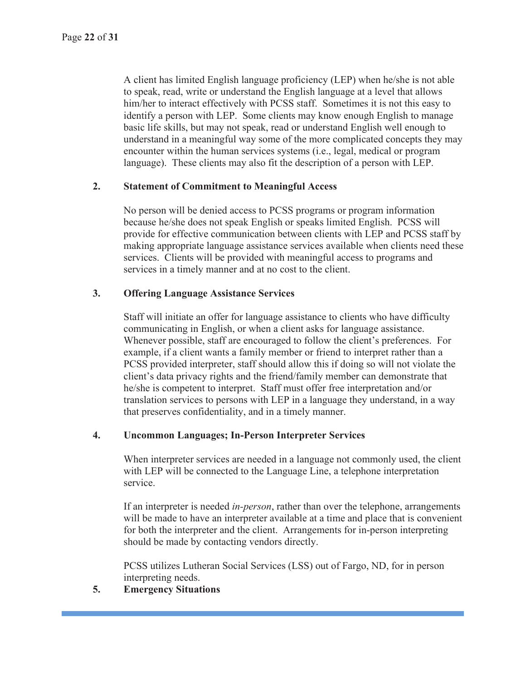A client has limited English language proficiency (LEP) when he/she is not able to speak, read, write or understand the English language at a level that allows him/her to interact effectively with PCSS staff. Sometimes it is not this easy to identify a person with LEP. Some clients may know enough English to manage basic life skills, but may not speak, read or understand English well enough to understand in a meaningful way some of the more complicated concepts they may encounter within the human services systems (i.e., legal, medical or program language). These clients may also fit the description of a person with LEP.

## **2. Statement of Commitment to Meaningful Access**

No person will be denied access to PCSS programs or program information because he/she does not speak English or speaks limited English. PCSS will provide for effective communication between clients with LEP and PCSS staff by making appropriate language assistance services available when clients need these services. Clients will be provided with meaningful access to programs and services in a timely manner and at no cost to the client.

## **3. Offering Language Assistance Services**

Staff will initiate an offer for language assistance to clients who have difficulty communicating in English, or when a client asks for language assistance. Whenever possible, staff are encouraged to follow the client's preferences. For example, if a client wants a family member or friend to interpret rather than a PCSS provided interpreter, staff should allow this if doing so will not violate the client's data privacy rights and the friend/family member can demonstrate that he/she is competent to interpret. Staff must offer free interpretation and/or translation services to persons with LEP in a language they understand, in a way that preserves confidentiality, and in a timely manner.

#### **4. Uncommon Languages; In-Person Interpreter Services**

When interpreter services are needed in a language not commonly used, the client with LEP will be connected to the Language Line, a telephone interpretation service.

If an interpreter is needed *in-person*, rather than over the telephone, arrangements will be made to have an interpreter available at a time and place that is convenient for both the interpreter and the client. Arrangements for in-person interpreting should be made by contacting vendors directly.

PCSS utilizes Lutheran Social Services (LSS) out of Fargo, ND, for in person interpreting needs.

## **5. Emergency Situations**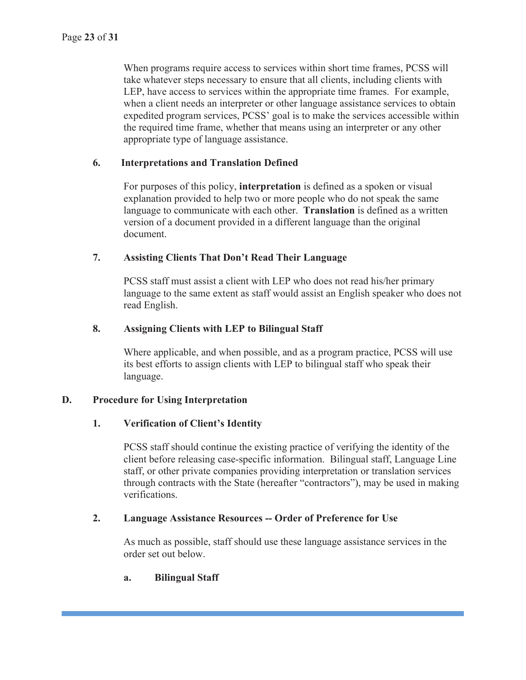When programs require access to services within short time frames, PCSS will take whatever steps necessary to ensure that all clients, including clients with LEP, have access to services within the appropriate time frames. For example, when a client needs an interpreter or other language assistance services to obtain expedited program services, PCSS' goal is to make the services accessible within the required time frame, whether that means using an interpreter or any other appropriate type of language assistance.

#### **6. Interpretations and Translation Defined**

For purposes of this policy, **interpretation** is defined as a spoken or visual explanation provided to help two or more people who do not speak the same language to communicate with each other. **Translation** is defined as a written version of a document provided in a different language than the original document.

#### **7. Assisting Clients That Don't Read Their Language**

PCSS staff must assist a client with LEP who does not read his/her primary language to the same extent as staff would assist an English speaker who does not read English.

#### **8. Assigning Clients with LEP to Bilingual Staff**

Where applicable, and when possible, and as a program practice, PCSS will use its best efforts to assign clients with LEP to bilingual staff who speak their language.

## **D. Procedure for Using Interpretation**

## **1. Verification of Client's Identity**

PCSS staff should continue the existing practice of verifying the identity of the client before releasing case-specific information. Bilingual staff, Language Line staff, or other private companies providing interpretation or translation services through contracts with the State (hereafter "contractors"), may be used in making verifications.

#### **2. Language Assistance Resources -- Order of Preference for Use**

As much as possible, staff should use these language assistance services in the order set out below.

#### **a. Bilingual Staff**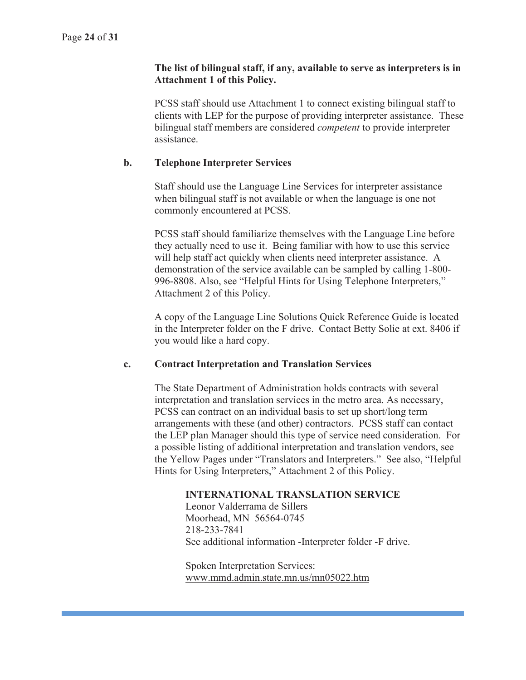#### **The list of bilingual staff, if any, available to serve as interpreters is in Attachment 1 of this Policy.**

PCSS staff should use Attachment 1 to connect existing bilingual staff to clients with LEP for the purpose of providing interpreter assistance. These bilingual staff members are considered *competent* to provide interpreter assistance.

#### **b. Telephone Interpreter Services**

Staff should use the Language Line Services for interpreter assistance when bilingual staff is not available or when the language is one not commonly encountered at PCSS.

PCSS staff should familiarize themselves with the Language Line before they actually need to use it. Being familiar with how to use this service will help staff act quickly when clients need interpreter assistance. A demonstration of the service available can be sampled by calling 1-800- 996-8808. Also, see "Helpful Hints for Using Telephone Interpreters," Attachment 2 of this Policy.

A copy of the Language Line Solutions Quick Reference Guide is located in the Interpreter folder on the F drive. Contact Betty Solie at ext. 8406 if you would like a hard copy.

#### **c. Contract Interpretation and Translation Services**

The State Department of Administration holds contracts with several interpretation and translation services in the metro area. As necessary, PCSS can contract on an individual basis to set up short/long term arrangements with these (and other) contractors. PCSS staff can contact the LEP plan Manager should this type of service need consideration. For a possible listing of additional interpretation and translation vendors, see the Yellow Pages under "Translators and Interpreters." See also, "Helpful Hints for Using Interpreters," Attachment 2 of this Policy.

#### **INTERNATIONAL TRANSLATION SERVICE**

 Leonor Valderrama de Sillers Moorhead, MN 56564-0745 218-233-7841 See additional information -Interpreter folder -F drive.

Spoken Interpretation Services: www.mmd.admin.state.mn.us/mn05022.htm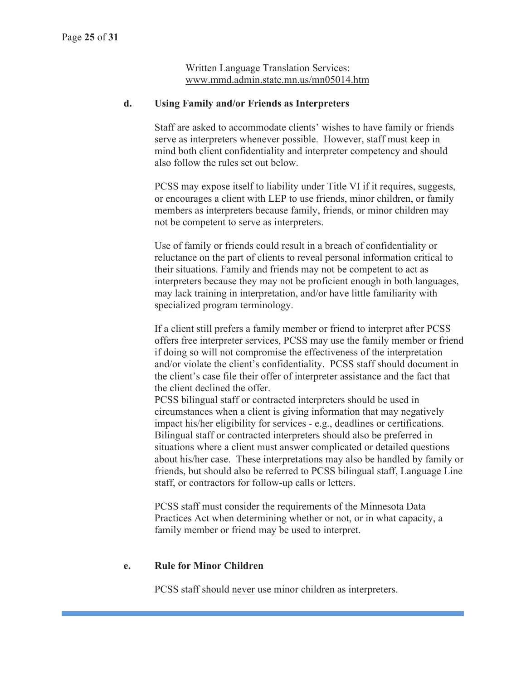Written Language Translation Services: www.mmd.admin.state.mn.us/mn05014.htm

#### **d. Using Family and/or Friends as Interpreters**

Staff are asked to accommodate clients' wishes to have family or friends serve as interpreters whenever possible. However, staff must keep in mind both client confidentiality and interpreter competency and should also follow the rules set out below.

PCSS may expose itself to liability under Title VI if it requires, suggests, or encourages a client with LEP to use friends, minor children, or family members as interpreters because family, friends, or minor children may not be competent to serve as interpreters.

Use of family or friends could result in a breach of confidentiality or reluctance on the part of clients to reveal personal information critical to their situations. Family and friends may not be competent to act as interpreters because they may not be proficient enough in both languages, may lack training in interpretation, and/or have little familiarity with specialized program terminology.

If a client still prefers a family member or friend to interpret after PCSS offers free interpreter services, PCSS may use the family member or friend if doing so will not compromise the effectiveness of the interpretation and/or violate the client's confidentiality. PCSS staff should document in the client's case file their offer of interpreter assistance and the fact that the client declined the offer.

PCSS bilingual staff or contracted interpreters should be used in circumstances when a client is giving information that may negatively impact his/her eligibility for services - e.g., deadlines or certifications. Bilingual staff or contracted interpreters should also be preferred in situations where a client must answer complicated or detailed questions about his/her case. These interpretations may also be handled by family or friends, but should also be referred to PCSS bilingual staff, Language Line staff, or contractors for follow-up calls or letters.

PCSS staff must consider the requirements of the Minnesota Data Practices Act when determining whether or not, or in what capacity, a family member or friend may be used to interpret.

#### **e. Rule for Minor Children**

PCSS staff should never use minor children as interpreters.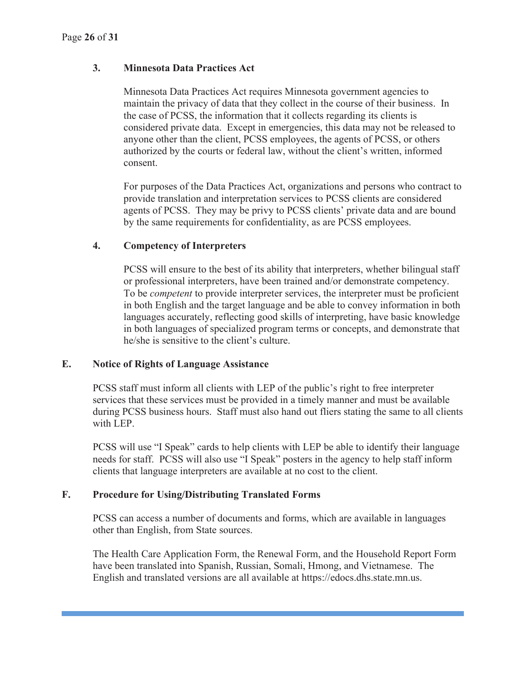## **3. Minnesota Data Practices Act**

Minnesota Data Practices Act requires Minnesota government agencies to maintain the privacy of data that they collect in the course of their business. In the case of PCSS, the information that it collects regarding its clients is considered private data. Except in emergencies, this data may not be released to anyone other than the client, PCSS employees, the agents of PCSS, or others authorized by the courts or federal law, without the client's written, informed consent.

For purposes of the Data Practices Act, organizations and persons who contract to provide translation and interpretation services to PCSS clients are considered agents of PCSS. They may be privy to PCSS clients' private data and are bound by the same requirements for confidentiality, as are PCSS employees.

#### **4. Competency of Interpreters**

PCSS will ensure to the best of its ability that interpreters, whether bilingual staff or professional interpreters, have been trained and/or demonstrate competency. To be *competent* to provide interpreter services, the interpreter must be proficient in both English and the target language and be able to convey information in both languages accurately, reflecting good skills of interpreting, have basic knowledge in both languages of specialized program terms or concepts, and demonstrate that he/she is sensitive to the client's culture.

#### **E. Notice of Rights of Language Assistance**

PCSS staff must inform all clients with LEP of the public's right to free interpreter services that these services must be provided in a timely manner and must be available during PCSS business hours. Staff must also hand out fliers stating the same to all clients with LEP.

PCSS will use "I Speak" cards to help clients with LEP be able to identify their language needs for staff. PCSS will also use "I Speak" posters in the agency to help staff inform clients that language interpreters are available at no cost to the client.

#### **F. Procedure for Using/Distributing Translated Forms**

PCSS can access a number of documents and forms, which are available in languages other than English, from State sources.

The Health Care Application Form, the Renewal Form, and the Household Report Form have been translated into Spanish, Russian, Somali, Hmong, and Vietnamese. The English and translated versions are all available at https://edocs.dhs.state.mn.us.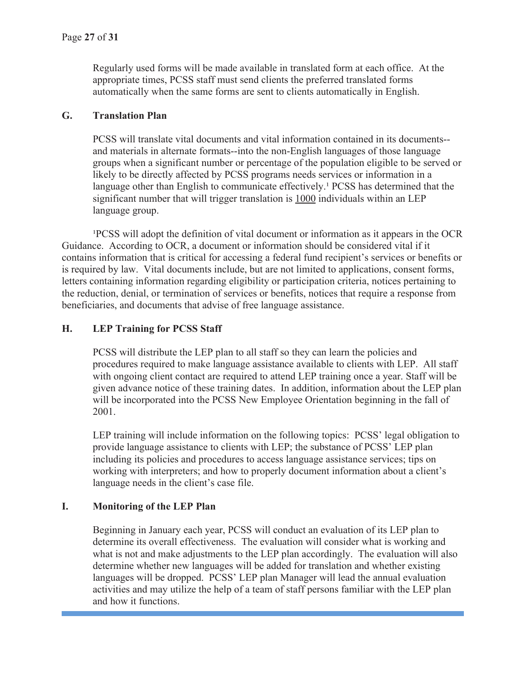Regularly used forms will be made available in translated form at each office. At the appropriate times, PCSS staff must send clients the preferred translated forms automatically when the same forms are sent to clients automatically in English.

#### **G. Translation Plan**

PCSS will translate vital documents and vital information contained in its documents- and materials in alternate formats--into the non-English languages of those language groups when a significant number or percentage of the population eligible to be served or likely to be directly affected by PCSS programs needs services or information in a language other than English to communicate effectively.<sup>1</sup> PCSS has determined that the significant number that will trigger translation is 1000 individuals within an LEP language group.

PCSS will adopt the definition of vital document or information as it appears in the OCR Guidance. According to OCR, a document or information should be considered vital if it contains information that is critical for accessing a federal fund recipient's services or benefits or is required by law. Vital documents include, but are not limited to applications, consent forms, letters containing information regarding eligibility or participation criteria, notices pertaining to the reduction, denial, or termination of services or benefits, notices that require a response from beneficiaries, and documents that advise of free language assistance.

## **H. LEP Training for PCSS Staff**

PCSS will distribute the LEP plan to all staff so they can learn the policies and procedures required to make language assistance available to clients with LEP. All staff with ongoing client contact are required to attend LEP training once a year. Staff will be given advance notice of these training dates. In addition, information about the LEP plan will be incorporated into the PCSS New Employee Orientation beginning in the fall of 2001.

LEP training will include information on the following topics: PCSS' legal obligation to provide language assistance to clients with LEP; the substance of PCSS' LEP plan including its policies and procedures to access language assistance services; tips on working with interpreters; and how to properly document information about a client's language needs in the client's case file.

## **I. Monitoring of the LEP Plan**

Beginning in January each year, PCSS will conduct an evaluation of its LEP plan to determine its overall effectiveness. The evaluation will consider what is working and what is not and make adjustments to the LEP plan accordingly. The evaluation will also determine whether new languages will be added for translation and whether existing languages will be dropped. PCSS' LEP plan Manager will lead the annual evaluation activities and may utilize the help of a team of staff persons familiar with the LEP plan and how it functions.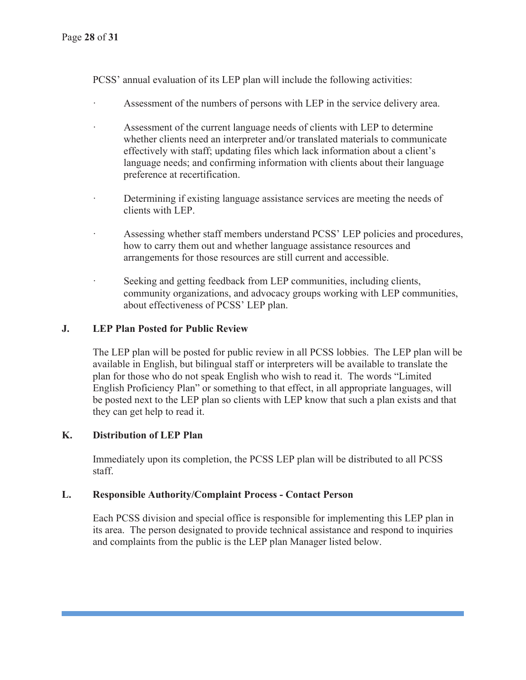PCSS' annual evaluation of its LEP plan will include the following activities:

- Assessment of the numbers of persons with LEP in the service delivery area.
- Assessment of the current language needs of clients with LEP to determine whether clients need an interpreter and/or translated materials to communicate effectively with staff; updating files which lack information about a client's language needs; and confirming information with clients about their language preference at recertification.
- Determining if existing language assistance services are meeting the needs of clients with LEP.
- · Assessing whether staff members understand PCSS' LEP policies and procedures, how to carry them out and whether language assistance resources and arrangements for those resources are still current and accessible.
- Seeking and getting feedback from LEP communities, including clients, community organizations, and advocacy groups working with LEP communities, about effectiveness of PCSS' LEP plan.

## **J. LEP Plan Posted for Public Review**

The LEP plan will be posted for public review in all PCSS lobbies. The LEP plan will be available in English, but bilingual staff or interpreters will be available to translate the plan for those who do not speak English who wish to read it. The words "Limited English Proficiency Plan" or something to that effect, in all appropriate languages, will be posted next to the LEP plan so clients with LEP know that such a plan exists and that they can get help to read it.

## **K. Distribution of LEP Plan**

Immediately upon its completion, the PCSS LEP plan will be distributed to all PCSS staff.

## **L. Responsible Authority/Complaint Process - Contact Person**

Each PCSS division and special office is responsible for implementing this LEP plan in its area. The person designated to provide technical assistance and respond to inquiries and complaints from the public is the LEP plan Manager listed below.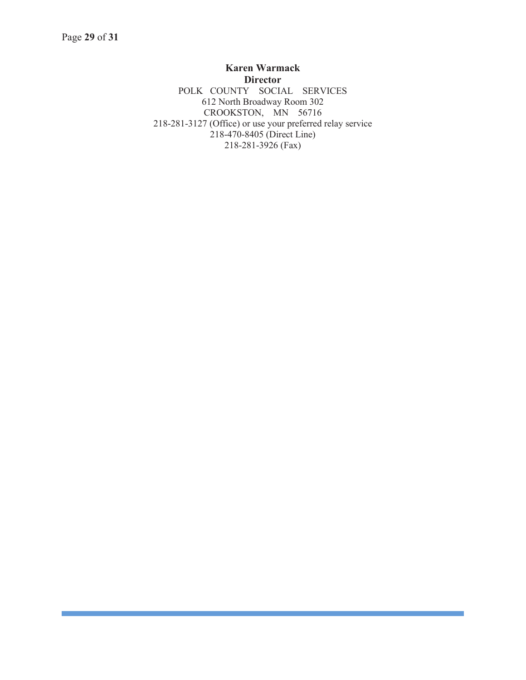**Karen Warmack Director**  POLK COUNTY SOCIAL SERVICES 612 North Broadway Room 302 CROOKSTON, MN 56716 218-281-3127 (Office) or use your preferred relay service  $218-470-8405$  (Direct Line) 218-281-3926 (Fax)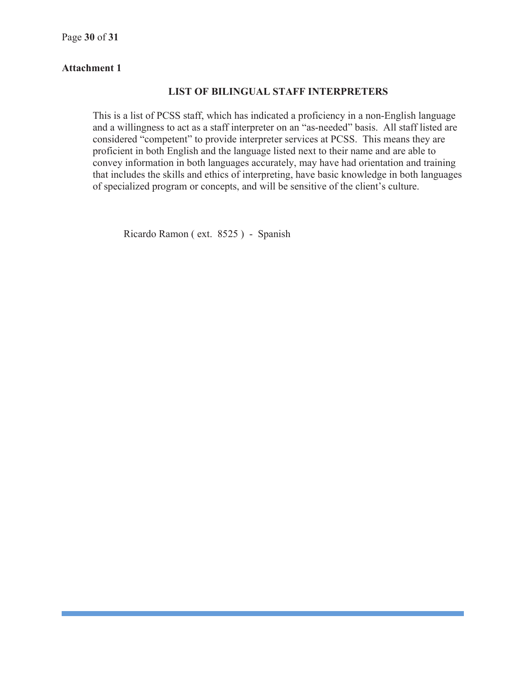#### **Attachment 1**

#### **LIST OF BILINGUAL STAFF INTERPRETERS**

This is a list of PCSS staff, which has indicated a proficiency in a non-English language and a willingness to act as a staff interpreter on an "as-needed" basis. All staff listed are considered "competent" to provide interpreter services at PCSS. This means they are proficient in both English and the language listed next to their name and are able to convey information in both languages accurately, may have had orientation and training that includes the skills and ethics of interpreting, have basic knowledge in both languages of specialized program or concepts, and will be sensitive of the client's culture.

Ricardo Ramon ( ext. 8525 ) - Spanish